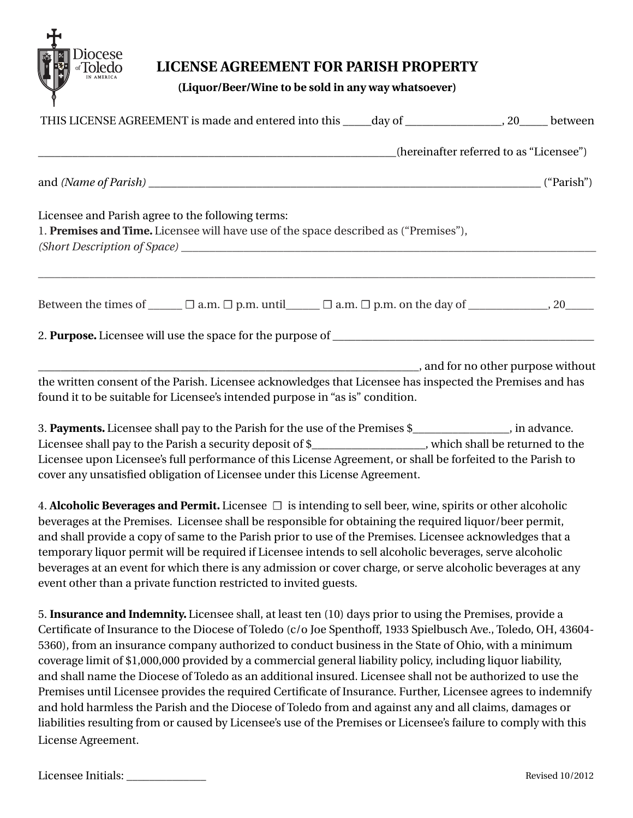

## **LICENSE AGREEMENT FOR PARISH PROPERTY**

**(Liquor/Beer/Wine to be sold in any way whatsoever)**

| THIS LICENSE AGREEMENT is made and entered into this _____day of _________________, 20_____ between                                                                                        |                                         |
|--------------------------------------------------------------------------------------------------------------------------------------------------------------------------------------------|-----------------------------------------|
|                                                                                                                                                                                            | (hereinafter referred to as "Licensee") |
|                                                                                                                                                                                            |                                         |
| Licensee and Parish agree to the following terms:<br>1. Premises and Time. Licensee will have use of the space described as ("Premises"),                                                  |                                         |
| Between the times of $\Box$ $\Box$ a.m. $\Box$ p.m. until $\Box$ $\Box$ a.m. $\Box$ p.m. on the day of $\Box$ , 20                                                                         |                                         |
|                                                                                                                                                                                            |                                         |
| the written consent of the Parish. Licensee acknowledges that Licensee has inspected the Premises and has<br>found it to be suitable for Licensee's intended purpose in "as is" condition. |                                         |
| 2 Decements Ligance shall next the Derich for the use of the Dramises $\phi$ in educated                                                                                                   |                                         |

3. **Payments.** Licensee shall pay to the Parish for the use of the Premises \$\_\_\_\_\_\_\_\_\_\_\_\_\_\_\_\_\_, in advance. Licensee shall pay to the Parish a security deposit of \$ \ metall be returned to the Licensee upon Licensee's full performance of this License Agreement, or shall be forfeited to the Parish to cover any unsatisfied obligation of Licensee under this License Agreement.

4. **Alcoholic Beverages and Permit.** Licensee ☐ is intending to sell beer, wine, spirits or other alcoholic beverages at the Premises. Licensee shall be responsible for obtaining the required liquor/beer permit, and shall provide a copy of same to the Parish prior to use of the Premises. Licensee acknowledges that a temporary liquor permit will be required if Licensee intends to sell alcoholic beverages, serve alcoholic beverages at an event for which there is any admission or cover charge, or serve alcoholic beverages at any event other than a private function restricted to invited guests.

5. **Insurance and Indemnity.** Licensee shall, at least ten (10) days prior to using the Premises, provide a Certificate of Insurance to the Diocese of Toledo (c/o Joe Spenthoff, 1933 Spielbusch Ave., Toledo, OH, 43604- 5360), from an insurance company authorized to conduct business in the State of Ohio, with a minimum coverage limit of \$1,000,000 provided by a commercial general liability policy, including liquor liability, and shall name the Diocese of Toledo as an additional insured. Licensee shall not be authorized to use the Premises until Licensee provides the required Certificate of Insurance. Further, Licensee agrees to indemnify and hold harmless the Parish and the Diocese of Toledo from and against any and all claims, damages or liabilities resulting from or caused by Licensee's use of the Premises or Licensee's failure to comply with this License Agreement.